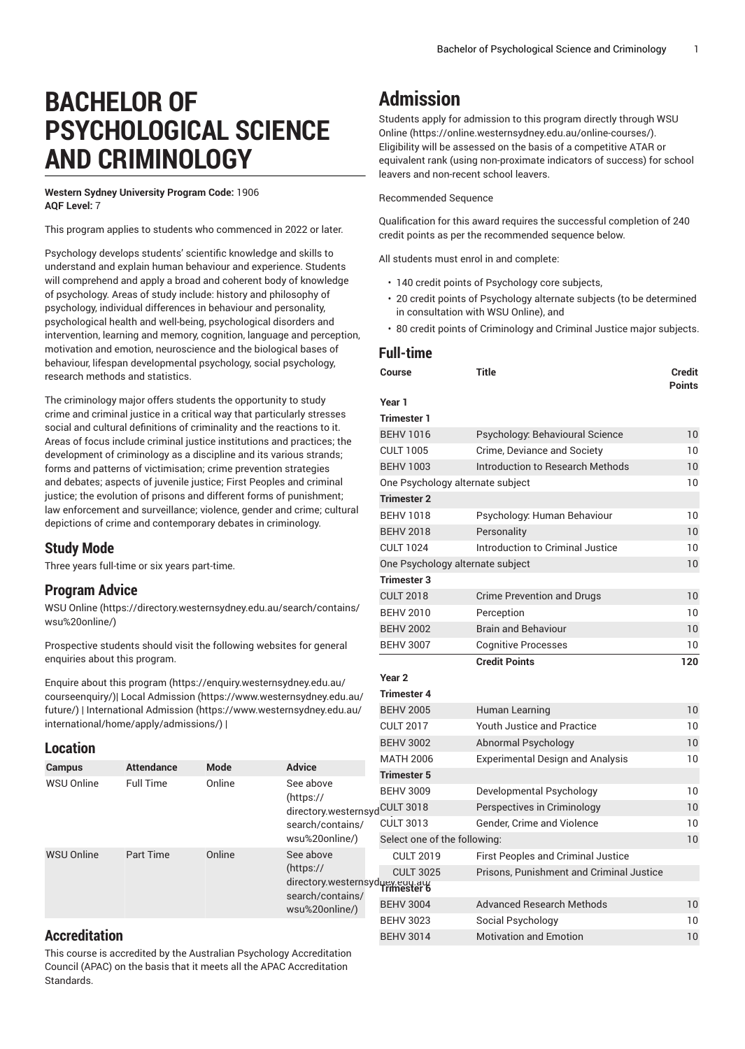# **BACHELOR OF PSYCHOLOGICAL SCIENCE AND CRIMINOLOGY**

**Western Sydney University Program Code:** 1906 **AQF Level:** 7

This program applies to students who commenced in 2022 or later.

Psychology develops students' scientific knowledge and skills to understand and explain human behaviour and experience. Students will comprehend and apply a broad and coherent body of knowledge of psychology. Areas of study include: history and philosophy of psychology, individual differences in behaviour and personality, psychological health and well-being, psychological disorders and intervention, learning and memory, cognition, language and perception, motivation and emotion, neuroscience and the biological bases of behaviour, lifespan developmental psychology, social psychology, research methods and statistics.

The criminology major offers students the opportunity to study crime and criminal justice in a critical way that particularly stresses social and cultural definitions of criminality and the reactions to it. Areas of focus include criminal justice institutions and practices; the development of criminology as a discipline and its various strands; forms and patterns of victimisation; crime prevention strategies and debates; aspects of juvenile justice; First Peoples and criminal justice; the evolution of prisons and different forms of punishment; law enforcement and surveillance; violence, gender and crime; cultural depictions of crime and contemporary debates in criminology.

## **Study Mode**

Three years full-time or six years part-time.

## **Program Advice**

[WSU Online](https://directory.westernsydney.edu.au/search/contains/wsu%20online/) ([https://directory.westernsydney.edu.au/search/contains/](https://directory.westernsydney.edu.au/search/contains/wsu%20online/) [wsu%20online/\)](https://directory.westernsydney.edu.au/search/contains/wsu%20online/)

Prospective students should visit the following websites for general enquiries about this program.

Enquire about this [program \(https://enquiry.westernsydney.edu.au/](https://enquiry.westernsydney.edu.au/courseenquiry/) [courseenquiry/](https://enquiry.westernsydney.edu.au/courseenquiry/))| [Local Admission \(https://www.westernsydney.edu.au/](https://www.westernsydney.edu.au/future/) [future/\)](https://www.westernsydney.edu.au/future/) | [International Admission](https://www.westernsydney.edu.au/international/home/apply/admissions/) ([https://www.westernsydney.edu.au/](https://www.westernsydney.edu.au/international/home/apply/admissions/) [international/home/apply/admissions/](https://www.westernsydney.edu.au/international/home/apply/admissions/)) |

#### **Location**

| -------           |                   |             |                                                                                                | <b>MATH 2006</b>             | <b>Experimental Design</b>   |
|-------------------|-------------------|-------------|------------------------------------------------------------------------------------------------|------------------------------|------------------------------|
| <b>Campus</b>     | <b>Attendance</b> | <b>Mode</b> | <b>Advice</b>                                                                                  |                              |                              |
| WSU Online        | <b>Full Time</b>  | Online      | See above<br>(htps://<br>directory.westernsydCULT 3018<br>search/contains/<br>wsu%20online/)   | <b>Trimester 5</b>           |                              |
|                   |                   |             |                                                                                                | <b>BEHV 3009</b>             | Developmental Psych          |
|                   |                   |             |                                                                                                |                              | Perspectives in Crimi        |
|                   |                   |             |                                                                                                | <b>CULT 3013</b>             | Gender, Crime and Vio        |
|                   |                   |             |                                                                                                | Select one of the following: |                              |
| <b>WSU Online</b> | Part Time         | Online      | See above<br>(htps://<br>directory.westernsydney.eau.au/<br>search/contains/<br>wsu%20online/) | <b>CULT 2019</b>             | <b>First Peoples and Cri</b> |
|                   |                   |             |                                                                                                | <b>CULT 3025</b>             | Prisons, Punishment          |
|                   |                   |             |                                                                                                |                              |                              |
|                   |                   |             |                                                                                                | <b>BEHV 3004</b>             | Advanced Research N          |
|                   |                   |             |                                                                                                | <b>BEHV 3023</b>             | Social Psychology            |

# **Accreditation**

This course is accredited by the Australian Psychology Accreditation Council (APAC) on the basis that it meets all the APAC Accreditation Standards.

# **Admission**

Students apply for admission to this program directly through [WSU](https://online.westernsydney.edu.au/online-courses/) [Online](https://online.westernsydney.edu.au/online-courses/) (<https://online.westernsydney.edu.au/online-courses/>). Eligibility will be assessed on the basis of a competitive ATAR or equivalent rank (using non-proximate indicators of success) for school leavers and non-recent school leavers.

Recommended Sequence

Qualification for this award requires the successful completion of 240 credit points as per the recommended sequence below.

All students must enrol in and complete:

- 140 credit points of Psychology core subjects,
- 20 credit points of Psychology alternate subjects (to be determined in consultation with WSU Online), and
- 80 credit points of Criminology and Criminal Justice major subjects.

# **Full-time Course Title Credit Points Year 1 Trimester 1** BEHV 1016 Psychology: Behavioural Science 10 CULT 1005 Crime, Deviance and Society 10 BEHV 1003 Introduction to Research Methods 10 One Psychology alternate subject 10 **Trimester 2** BEHV 1018 Psychology: Human Behaviour 10 BEHV 2018 Personality 10 CULT 1024 Introduction to Criminal Justice 10 One Psychology alternate subject 10 **Trimester 3** CULT 2018 Crime Prevention and Drugs 10 BEHV 2010 Perception 200 BEHV 2002 Brain and Behaviour 10 BEHV 3007 Cognitive Processes 2008 10 **Credit Points 120 Year 2 Trimester 4** BEHV 2005 Human Learning 10 CULT 2017 Youth Justice and Practice 10 BEHV 3002 Abnormal Psychology 10 and Analysis 10 BEHV 3009 Developmental Psychology 10 CULT 3018 Perspectives in Criminology 10 CULT 3013 Gender, Crime and Violence 10 Select one of the following: 10 minal Justice and Criminal Justice BEHV 3004 Advanced Research Methods 10 BEHV 3023 Social Psychology 10 BEHV 3014 Motivation and Emotion 10